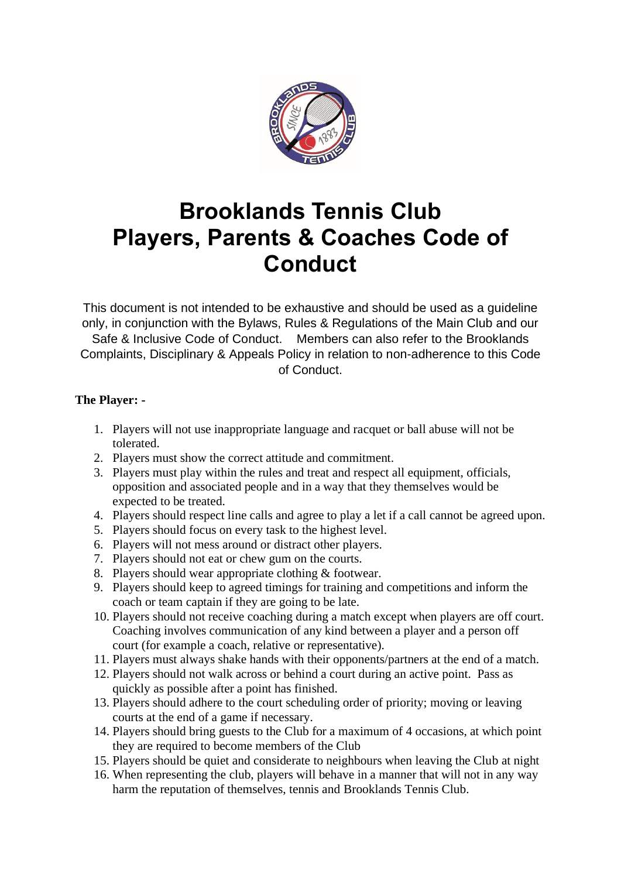

## **Brooklands Tennis Club Players, Parents & Coaches Code of Conduct**

This document is not intended to be exhaustive and should be used as a guideline only, in conjunction with the Bylaws, Rules & Regulations of the Main Club and our Safe & Inclusive Code of Conduct. Members can also refer to the Brooklands Complaints, Disciplinary & Appeals Policy in relation to non-adherence to this Code of Conduct.

## **The Player: -**

- 1. Players will not use inappropriate language and racquet or ball abuse will not be tolerated.
- 2. Players must show the correct attitude and commitment.
- 3. Players must play within the rules and treat and respect all equipment, officials, opposition and associated people and in a way that they themselves would be expected to be treated.
- 4. Players should respect line calls and agree to play a let if a call cannot be agreed upon.
- 5. Players should focus on every task to the highest level.
- 6. Players will not mess around or distract other players.
- 7. Players should not eat or chew gum on the courts.
- 8. Players should wear appropriate clothing & footwear.
- 9. Players should keep to agreed timings for training and competitions and inform the coach or team captain if they are going to be late.
- 10. Players should not receive coaching during a match except when players are off court. Coaching involves communication of any kind between a player and a person off court (for example a coach, relative or representative).
- 11. Players must always shake hands with their opponents/partners at the end of a match.
- 12. Players should not walk across or behind a court during an active point. Pass as quickly as possible after a point has finished.
- 13. Players should adhere to the court scheduling order of priority; moving or leaving courts at the end of a game if necessary.
- 14. Players should bring guests to the Club for a maximum of 4 occasions, at which point they are required to become members of the Club
- 15. Players should be quiet and considerate to neighbours when leaving the Club at night
- 16. When representing the club, players will behave in a manner that will not in any way harm the reputation of themselves, tennis and Brooklands Tennis Club.